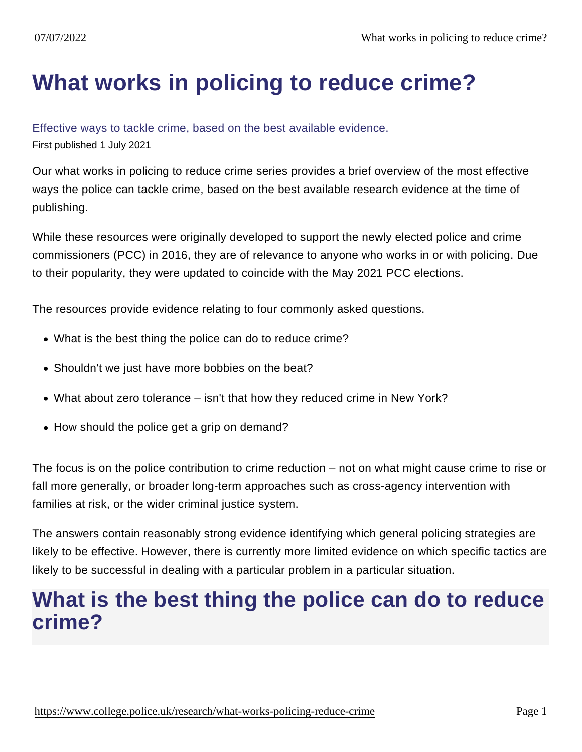# [What works in policing to reduce crime?](https://www.college.police.uk/research/what-works-policing-reduce-crime)

#### Effective ways to tackle crime, based on the best available evidence.

First published 1 July 2021

Our what works in policing to reduce crime series provides a brief overview of the most effective ways the police can tackle crime, based on the best available research evidence at the time of publishing.

While these resources were originally developed to support the newly elected police and crime commissioners (PCC) in 2016, they are of relevance to anyone who works in or with policing. Due to their popularity, they were updated to coincide with the May 2021 PCC elections.

The resources provide evidence relating to four commonly asked questions.

- What is the best thing the police can do to reduce crime?
- Shouldn't we just have more bobbies on the beat?
- What about zero tolerance isn't that how they reduced crime in New York?
- How should the police get a grip on demand?

The focus is on the police contribution to crime reduction – not on what might cause crime to rise or fall more generally, or broader long-term approaches such as cross-agency intervention with families at risk, or the wider criminal justice system.

The answers contain reasonably strong evidence identifying which general policing strategies are likely to be effective. However, there is currently more limited evidence on which specific tactics are likely to be successful in dealing with a particular problem in a particular situation.

### What is the best thing the police can do to reduce crime?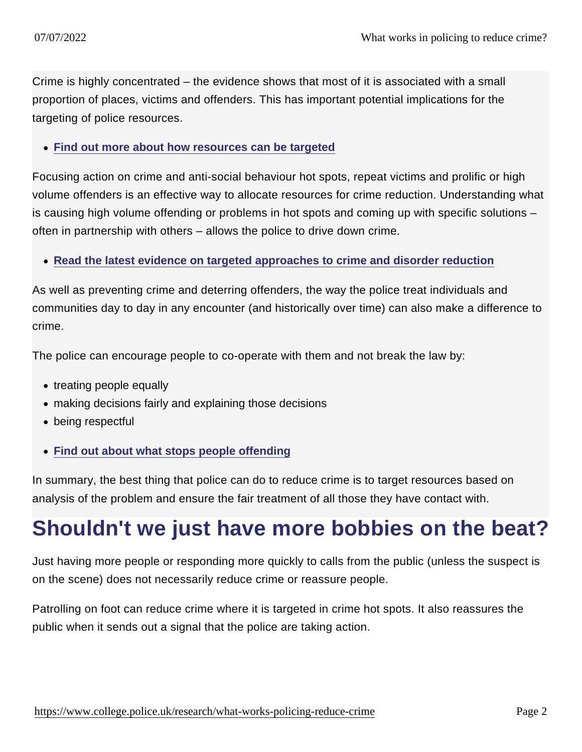Crime is highly concentrated – the evidence shows that most of it is associated with a small proportion of places, victims and offenders. This has important potential implications for the targeting of police resources.

• [Find out more about how resources can be targeted](https://www.college.police.uk/research/what-works-policing-reduce-crime/people-and-places)

Focusing action on crime and anti-social behaviour hot spots, repeat victims and prolific or high volume offenders is an effective way to allocate resources for crime reduction. Understanding what is causing high volume offending or problems in hot spots and coming up with specific solutions – often in partnership with others – allows the police to drive down crime.

[Read the latest evidence on targeted approaches to crime and disorder reduction](https://www.college.police.uk/research/what-works-policing-reduce-crime/targeted-approaches)

As well as preventing crime and deterring offenders, the way the police treat individuals and communities day to day in any encounter (and historically over time) can also make a difference to crime.

The police can encourage people to co-operate with them and not break the law by:

- treating people equally
- making decisions fairly and explaining those decisions
- being respectful
- [Find out about what stops people offending](https://www.college.police.uk/research/what-works-policing-reduce-crime/what-stops-people-offending)

In summary, the best thing that police can do to reduce crime is to target resources based on analysis of the problem and ensure the fair treatment of all those they have contact with.

# Shouldn't we just have more bobbies on the beat?

Just having more people or responding more quickly to calls from the public (unless the suspect is on the scene) does not necessarily reduce crime or reassure people.

Patrolling on foot can reduce crime where it is targeted in crime hot spots. It also reassures the public when it sends out a signal that the police are taking action.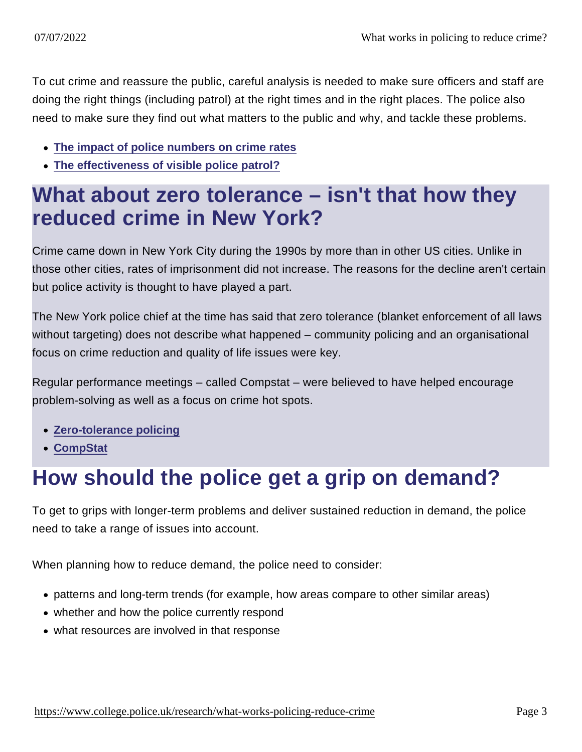To cut crime and reassure the public, careful analysis is needed to make sure officers and staff are doing the right things (including patrol) at the right times and in the right places. The police also need to make sure they find out what matters to the public and why, and tackle these problems.

- [The impact of police numbers on crime rates](https://www.college.police.uk/research/what-works-policing-reduce-crime/police-numbers)
- [The effectiveness of visible police patrol?](https://www.college.police.uk/research/what-works-policing-reduce-crime/visible-police-patrol)

### What about zero tolerance – isn't that how they reduced crime in New York?

Crime came down in New York City during the 1990s by more than in other US cities. Unlike in those other cities, rates of imprisonment did not increase. The reasons for the decline aren't certain but police activity is thought to have played a part.

The New York police chief at the time has said that zero tolerance (blanket enforcement of all laws without targeting) does not describe what happened – community policing and an organisational focus on crime reduction and quality of life issues were key.

Regular performance meetings – called Compstat – were believed to have helped encourage problem-solving as well as a focus on crime hot spots.

- [Zero-tolerance policing](https://www.college.police.uk/research/what-works-policing-reduce-crime/zero-tolerance)
- [CompStat](https://www.college.police.uk/research/what-works-policing-reduce-crime/compstat)

# How should the police get a grip on demand?

To get to grips with longer-term problems and deliver sustained reduction in demand, the police need to take a range of issues into account.

When planning how to reduce demand, the police need to consider:

- patterns and long-term trends (for example, how areas compare to other similar areas)
- whether and how the police currently respond
- what resources are involved in that response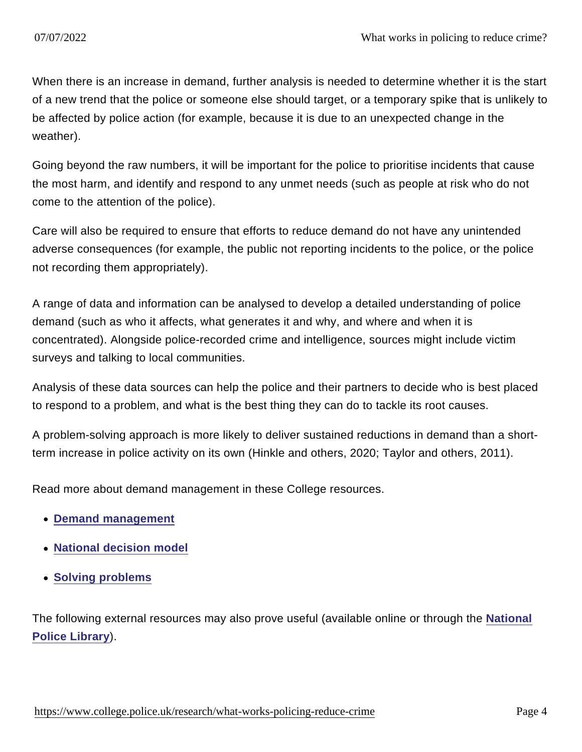When there is an increase in demand, further analysis is needed to determine whether it is the start of a new trend that the police or someone else should target, or a temporary spike that is unlikely to be affected by police action (for example, because it is due to an unexpected change in the weather).

Going beyond the raw numbers, it will be important for the police to prioritise incidents that cause the most harm, and identify and respond to any unmet needs (such as people at risk who do not come to the attention of the police).

Care will also be required to ensure that efforts to reduce demand do not have any unintended adverse consequences (for example, the public not reporting incidents to the police, or the police not recording them appropriately).

A range of data and information can be analysed to develop a detailed understanding of police demand (such as who it affects, what generates it and why, and where and when it is concentrated). Alongside police-recorded crime and intelligence, sources might include victim surveys and talking to local communities.

Analysis of these data sources can help the police and their partners to decide who is best placed to respond to a problem, and what is the best thing they can do to tackle its root causes.

A problem-solving approach is more likely to deliver sustained reductions in demand than a shortterm increase in police activity on its own (Hinkle and others, 2020; Taylor and others, 2011).

Read more about demand management in these College resources.

- [Demand management](https://whatworks.college.police.uk/Partnerships/Knowledge-Fund/PKF_catalogue/Pages/Demand-management.aspx)
- [National decision model](https://www.app.college.police.uk/app-content/national-decision-model/)
- [Solving problems](https://www.college.police.uk/guidance/neighbourhood-policing/solving-problems)

The following external resources may also prove useful (available online or through the [National](https://www.college.police.uk/library) [Police Library](https://www.college.police.uk/library) ).